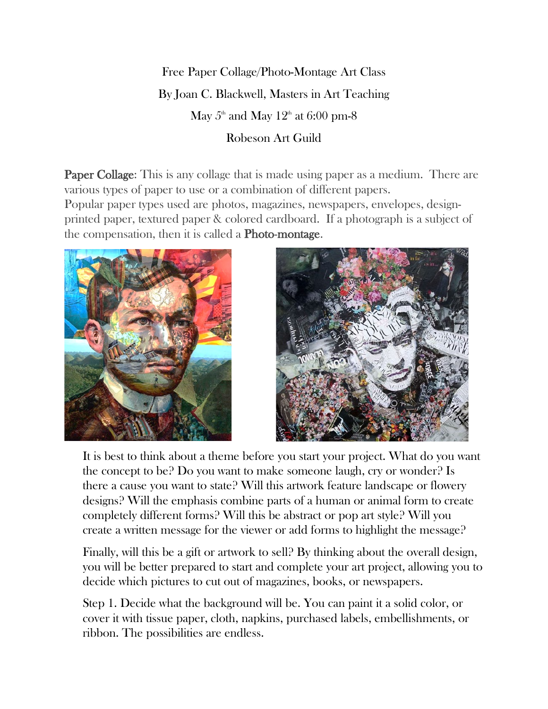## Free Paper Collage/Photo-Montage Art Class By Joan C. Blackwell, Masters in Art Teaching May  $5<sup>th</sup>$  and May  $12<sup>th</sup>$  at 6:00 pm-8 Robeson Art Guild

**Paper Collage:** This is any collage that is made using paper as a medium. There are various types of paper to use or a combination of different papers. Popular paper types used are photos, magazines, newspapers, envelopes, designprinted paper, textured paper & colored cardboard. If a photograph is a subject of the compensation, then it is called a Photo-montage.





It is best to think about a theme before you start your project. What do you want the concept to be? Do you want to make someone laugh, cry or wonder? Is there a cause you want to state? Will this artwork feature landscape or flowery designs? Will the emphasis combine parts of a human or animal form to create completely different forms? Will this be abstract or pop art style? Will you create a written message for the viewer or add forms to highlight the message?

Finally, will this be a gift or artwork to sell? By thinking about the overall design, you will be better prepared to start and complete your art project, allowing you to decide which pictures to cut out of magazines, books, or newspapers.

Step 1. Decide what the background will be. You can paint it a solid color, or cover it with tissue paper, cloth, napkins, purchased labels, embellishments, or ribbon. The possibilities are endless.